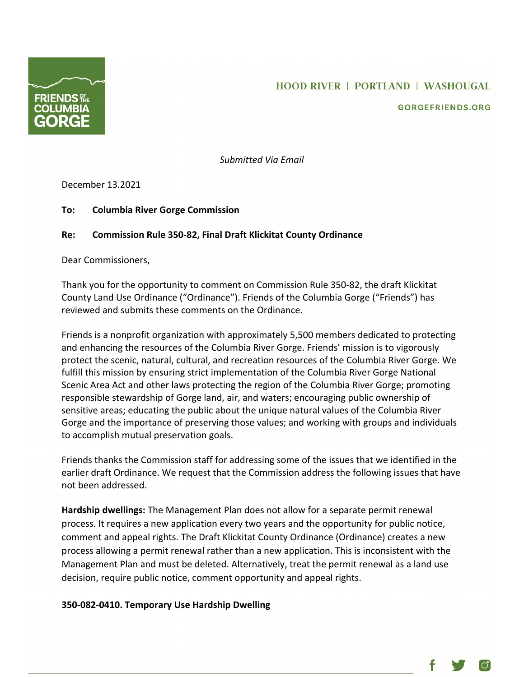

# **HOOD RIVER | PORTLAND | WASHOUGAL**

**GORGEFRIENDS.ORG** 

*Submitted Via Email*

December 13.2021

**To: Columbia River Gorge Commission**

### **Re: Commission Rule 350-82, Final Draft Klickitat County Ordinance**

Dear Commissioners,

Thank you for the opportunity to comment on Commission Rule 350-82, the draft Klickitat County Land Use Ordinance ("Ordinance"). Friends of the Columbia Gorge ("Friends") has reviewed and submits these comments on the Ordinance.

Friends is a nonprofit organization with approximately 5,500 members dedicated to protecting and enhancing the resources of the Columbia River Gorge. Friends' mission is to vigorously protect the scenic, natural, cultural, and recreation resources of the Columbia River Gorge. We fulfill this mission by ensuring strict implementation of the Columbia River Gorge National Scenic Area Act and other laws protecting the region of the Columbia River Gorge; promoting responsible stewardship of Gorge land, air, and waters; encouraging public ownership of sensitive areas; educating the public about the unique natural values of the Columbia River Gorge and the importance of preserving those values; and working with groups and individuals to accomplish mutual preservation goals.

Friends thanks the Commission staff for addressing some of the issues that we identified in the earlier draft Ordinance. We request that the Commission address the following issues that have not been addressed.

**Hardship dwellings:** The Management Plan does not allow for a separate permit renewal process. It requires a new application every two years and the opportunity for public notice, comment and appeal rights. The Draft Klickitat County Ordinance (Ordinance) creates a new process allowing a permit renewal rather than a new application. This is inconsistent with the Management Plan and must be deleted. Alternatively, treat the permit renewal as a land use decision, require public notice, comment opportunity and appeal rights.

#### **350-082-0410. Temporary Use Hardship Dwelling**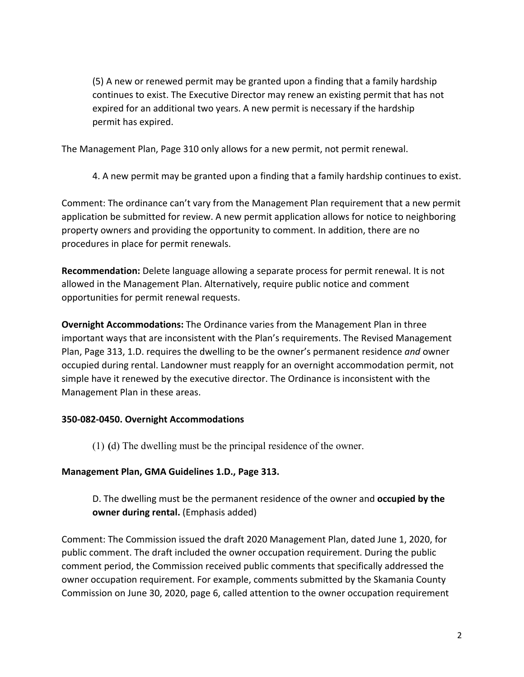(5) A new or renewed permit may be granted upon a finding that a family hardship continues to exist. The Executive Director may renew an existing permit that has not expired for an additional two years. A new permit is necessary if the hardship permit has expired.

The Management Plan, Page 310 only allows for a new permit, not permit renewal.

4. A new permit may be granted upon a finding that a family hardship continues to exist.

Comment: The ordinance can't vary from the Management Plan requirement that a new permit application be submitted for review. A new permit application allows for notice to neighboring property owners and providing the opportunity to comment. In addition, there are no procedures in place for permit renewals.

**Recommendation:** Delete language allowing a separate process for permit renewal. It is not allowed in the Management Plan. Alternatively, require public notice and comment opportunities for permit renewal requests.

**Overnight Accommodations:** The Ordinance varies from the Management Plan in three important ways that are inconsistent with the Plan's requirements. The Revised Management Plan, Page 313, 1.D. requires the dwelling to be the owner's permanent residence *and* owner occupied during rental. Landowner must reapply for an overnight accommodation permit, not simple have it renewed by the executive director. The Ordinance is inconsistent with the Management Plan in these areas.

#### **350-082-0450. Overnight Accommodations**

(1) **(**d) The dwelling must be the principal residence of the owner.

#### **Management Plan, GMA Guidelines 1.D., Page 313.**

D. The dwelling must be the permanent residence of the owner and **occupied by the owner during rental.** (Emphasis added)

Comment: The Commission issued the draft 2020 Management Plan, dated June 1, 2020, for public comment. The draft included the owner occupation requirement. During the public comment period, the Commission received public comments that specifically addressed the owner occupation requirement. For example, comments submitted by the Skamania County Commission on June 30, 2020, page 6, called attention to the owner occupation requirement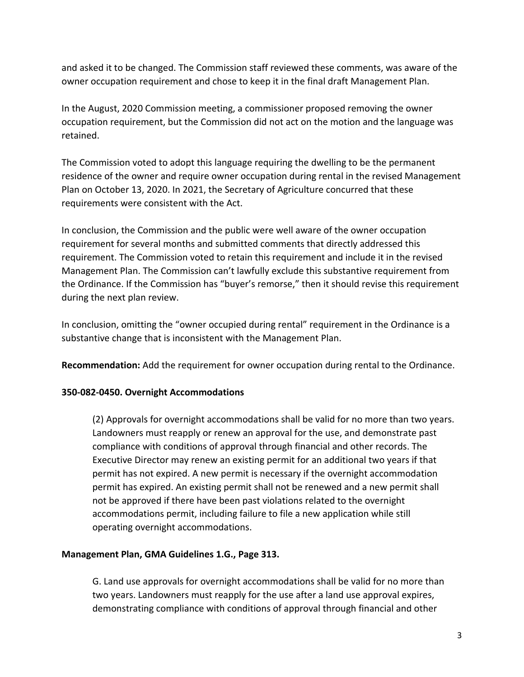and asked it to be changed. The Commission staff reviewed these comments, was aware of the owner occupation requirement and chose to keep it in the final draft Management Plan.

In the August, 2020 Commission meeting, a commissioner proposed removing the owner occupation requirement, but the Commission did not act on the motion and the language was retained.

The Commission voted to adopt this language requiring the dwelling to be the permanent residence of the owner and require owner occupation during rental in the revised Management Plan on October 13, 2020. In 2021, the Secretary of Agriculture concurred that these requirements were consistent with the Act.

In conclusion, the Commission and the public were well aware of the owner occupation requirement for several months and submitted comments that directly addressed this requirement. The Commission voted to retain this requirement and include it in the revised Management Plan. The Commission can't lawfully exclude this substantive requirement from the Ordinance. If the Commission has "buyer's remorse," then it should revise this requirement during the next plan review.

In conclusion, omitting the "owner occupied during rental" requirement in the Ordinance is a substantive change that is inconsistent with the Management Plan.

**Recommendation:** Add the requirement for owner occupation during rental to the Ordinance.

## **350-082-0450. Overnight Accommodations**

(2) Approvals for overnight accommodations shall be valid for no more than two years. Landowners must reapply or renew an approval for the use, and demonstrate past compliance with conditions of approval through financial and other records. The Executive Director may renew an existing permit for an additional two years if that permit has not expired. A new permit is necessary if the overnight accommodation permit has expired. An existing permit shall not be renewed and a new permit shall not be approved if there have been past violations related to the overnight accommodations permit, including failure to file a new application while still operating overnight accommodations.

## **Management Plan, GMA Guidelines 1.G., Page 313.**

G. Land use approvals for overnight accommodations shall be valid for no more than two years. Landowners must reapply for the use after a land use approval expires, demonstrating compliance with conditions of approval through financial and other